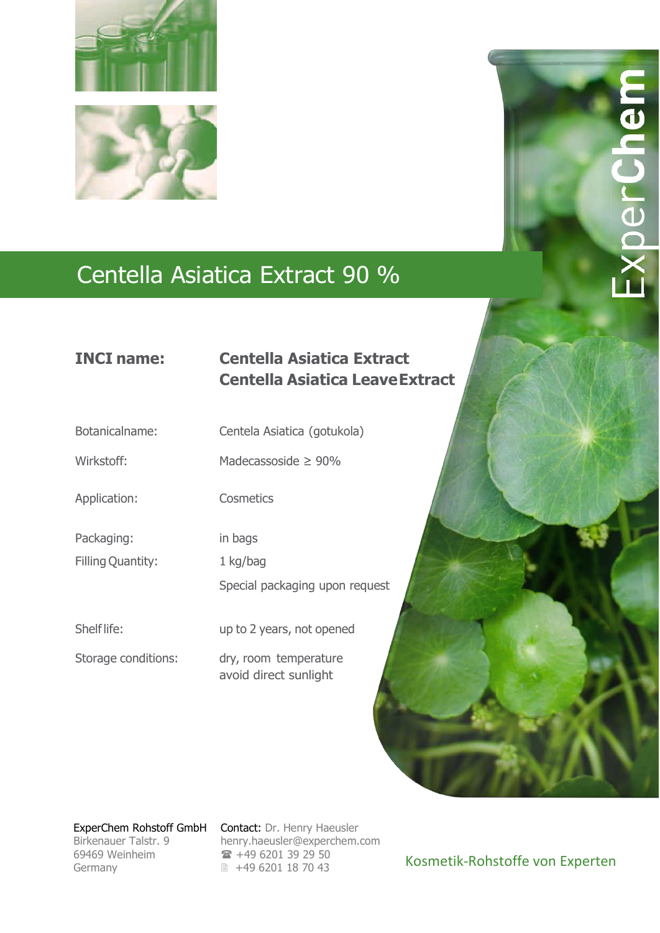

# Centella Asiatica Extract 90 %

### **INCI name: Centella Asiatica Extract Centella Asiatica LeaveExtract**

Botanicalname: Centela Asiatica (gotukola)

Wirkstoff: Madecassoside ≥ 90%

Application: Cosmetics

Packaging: in bags

Filling Quantity: 1 kg/bag

Special packaging upon request

Shelf life: up to 2 years, not opened

Storage conditions: dry, room temperature avoid direct sunlight

69469 Weinheim 69469 Weinheim Germany Germany

ExperChem Rohstoff GmbH Contact: Dr. Henry Haeusler Birkenauer Talstr. 9 [henry.haeusler@experchem.com](mailto:henry.haeusler@experchem.com) for +49 6201 39 29 50 ■ +49 6201 18 70 43

Kosmetik-Rohstoffe von Experten

nerCher